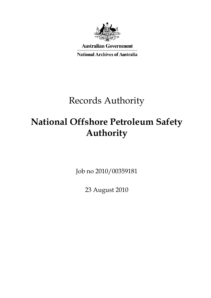

**Australian Government** 

**National Archives of Australia** 

# Records Authority

# **National Offshore Petroleum Safety Authority**

Job no 2010/00359181

23 August 2010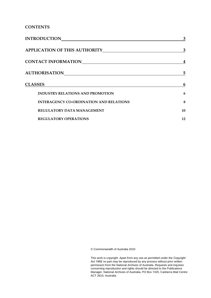**CONTENTS** 

| <b>INTRODUCTION</b>                            | 3  |
|------------------------------------------------|----|
| <b>APPLICATION OF THIS AUTHORITY</b>           | 3  |
| <b>CONTACT INFORMATION</b>                     | 4  |
| <b>AUTHORISATION</b>                           | 5  |
| <b>CLASSES</b>                                 | 6  |
| <b>INDUSTRY RELATIONS AND PROMOTION</b>        | 6  |
| <b>INTERAGENCY CO-ORDINATION AND RELATIONS</b> | 8  |
| REGULATORY DATA MANAGEMENT                     | 10 |
| <b>REGULATORY OPERATIONS</b>                   | 12 |

© Commonwealth of Australia 2010

This work is copyright. Apart from any use as permitted under the *Copyright Act 1968,* no part may be reproduced by any process without prior written permission from the National Archives of Australia. Requests and inquiries concerning reproduction and rights should be directed to the Publications Manager, National Archives of Australia, PO Box 7425, Canberra Mail Centre ACT 2610, Australia.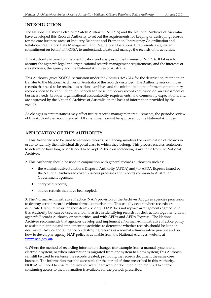## **INTRODUCTION**

The National Offshore Petroleum Safety Authority (NOPSA) and the National Archives of Australia have developed this Records Authority to set out the requirements for keeping or destroying records for the core business areas of Industry Relations and Promotion, Interagency Co-ordination and Relations, Regulatory Data Management and Regulatory Operations. It represents a significant commitment on behalf of NOPSA to understand, create and manage the records of its activities.

This Authority is based on the identification and analysis of the business of NOPSA. It takes into account the agency's legal and organisational records management requirements, and the interests of stakeholders, the agency and the National Archives of Australia.

This Authority gives NOPSA permission under the *Archives Act 1983*, for the destruction, retention or transfer to the National Archives of Australia of the records described. The Authority sets out those records that need to be retained as national archives and the minimum length of time that temporary records need to be kept. Retention periods for these temporary records are based on: an assessment of business needs; broader organisational accountability requirements; and community expectations, and are approved by the National Archives of Australia on the basis of information provided by the agency.

As changes in circumstances may affect future records management requirements, the periodic review of this Authority is recommended. All amendments must be approved by the National Archives.

## **APPLICATION OF THIS AUTHORITY**

1. This Authority is to be used to sentence records. Sentencing involves the examination of records in order to identify the individual disposal class to which they belong. This process enables sentencers to determine how long records need to be kept. Advice on sentencing is available from the National Archives.

2. This Authority should be used in conjunction with general records authorities such as:

- the Administrative Functions Disposal Authority (AFDA) and/or AFDA Express issued by the National Archives to cover business processes and records common to Australian Government agencies;
- encrypted records;
- • source records that have been copied.

 destroyed. Advice and guidance on destroying records as a normal administrative practice and on how to develop an agency NAP policy is available from the National Archives' website at 3. The Normal Administrative Practice (NAP) provision of the Archives Act gives agencies permission to destroy certain records without formal authorisation. This usually occurs where records are duplicated, facilitative or for short-term use only. NAP does not replace arrangements agreed to in this Authority but can be used as a tool to assist in identifying records for destruction together with an agency's Records Authority or Authorities, and with AFDA and AFDA Express. The National Archives recommends that agencies develop and implement a Normal Administrative Practice policy to assist in planning and implementing activities to determine whether records should be kept or www.naa.gov.au**.** 

4. Where the method of recording information changes (for example from a manual system to an electronic system, or when information is migrated from one system to a new system) this Authority can still be used to sentence the records created, providing the records document the same core business. The information must be accessible for the period of time prescribed in this Authority. NOPSA will need to ensure that any software, hardware or documentation required to enable continuing access to the information is available for the periods prescribed.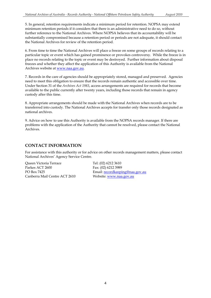5. In general, retention requirements indicate a minimum period for retention. NOPSA may extend minimum retention periods if it considers that there is an administrative need to do so, without further reference to the National Archives. Where NOPSA believes that its accountability will be substantially compromised because a retention period or periods are not adequate, it should contact the National Archives for review of the retention period.

 place no records relating to the topic or event may be destroyed. Further information about disposal 6. From time to time the National Archives will place a freeze on some groups of records relating to a particular topic or event which has gained prominence or provokes controversy. While the freeze is in freezes and whether they affect the application of this Authority is available from the National Archives website at www.naa.gov.au.

 7. Records in the care of agencies should be appropriately stored, managed and preserved. Agencies need to meet this obligation to ensure that the records remain authentic and accessible over time. Under Section 31 of the *Archives Act 1983*, access arrangements are required for records that become available to the public currently after twenty years, including those records that remain in agency custody after this time.

8. Appropriate arrangements should be made with the National Archives when records are to be transferred into custody. The National Archives accepts for transfer only those records designated as national archives.

9. Advice on how to use this Authority is available from the NOPSA records manager. If there are problems with the application of the Authority that cannot be resolved, please contact the National Archives.

## **CONTACT INFORMATION**

For assistance with this authority or for advice on other records management matters, please contact National Archives' Agency Service Centre.

Parkes ACT 2600 Fax: (02) 6212 3989 Queen Victoria Terrace Tel: (02) 6212 3610 PO Box 7425 Email: <u>recordkeeping@naa</u><br>Canberra Mail Centre ACT 2610 Website: www.naa.gov.au

Email: recordkeeping@naa.gov.au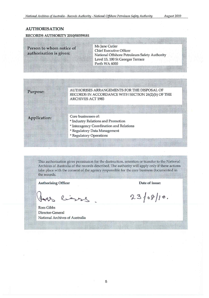## **AUTHORISATION**

### RECORDS AUTHORITY 2010/00359181

| Person to whom notice of<br>authorisation is given: |                     | Ms Jane Cutler<br><b>Chief Executive Officer</b><br>National Offshore Petroleum Safety Authority<br>Level 15, 100 St Georges Terrace<br>Perth WA 6000 |  |
|-----------------------------------------------------|---------------------|-------------------------------------------------------------------------------------------------------------------------------------------------------|--|
| Purpose:                                            |                     | AUTHORISES ARRANGEMENTS FOR THE DISPOSAL OF<br>RECORDS IN ACCORDANCE WITH SECTION 24(2)(b) OF THE<br><b>ARCHIVES ACT 1983</b>                         |  |
| <b>Application:</b>                                 | Core businesses of: | * Industry Relations and Promotion<br>* Interagency Coordination and Relations<br>* Regulatory Data Management<br>* Regulatory Operations             |  |

This authorisation gives permission for the destruction, retention or transfer to the National Archives of Australia of the records described. The authority will apply only if these actions take place with the consent of the agency responsible for the core business documented in the records.

**Authorising Officer** 

inse

Ross Gibbs Director-General National Archives of Australia

Date of issue:

 $23/08/10.$ 

5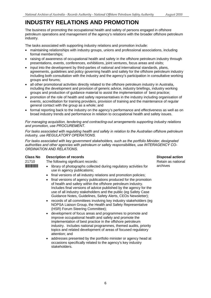## <span id="page-5-0"></span>**INDUSTRY RELATIONS AND PROMOTION**

The business of promoting the occupational health and safety of persons engaged in offshore petroleum operations and management of the agency's relations with the broader offshore petroleum industry.

The tasks associated with supporting industry relations and promotion include:

- maintaining relationships with industry groups, unions and professional associations, including formal memberships;
- raising of awareness of occupational health and safety in the offshore petroleum industry through presentations, events, conferences, exhibitions, joint ventures, focus areas and visits;
- input into the development by third-parties of national and international standards, plans, agreements, guidelines and policy governing health and safety for the offshore petroleum industry including both consultation with the industry and the agency's participation in consultative working groups and forums;
- all other promotional activities directly related to the offshore petroleum industry in Australia. including the development and provision of generic advice, industry briefings, industry working groups and production of guidance material to assist the implementation of best practice;
- promotion of the role of health and safety representatives in the industry including organisation of events, accreditation for training providers, provision of training and the maintenance of regular general contact with the group as a whole; and
- formal reporting back to the industry on the agency's performance and effectiveness as well as on broad industry trends and performance in relation to occupational health and safety issues.

*For managing acquisition, tendering and contracting-out arrangements supporting industry relations and promotion, use PROCUREMENT.* 

*For tasks associated with regulating health and safety in relation to the Australian offshore petroleum industry, use REGULATORY OPERATIONS.* 

*For tasks associated with key government stakeholders, such as the portfolio Minister, designated authorities and other agencies with petroleum or safety responsibilities, use INTERAGENCY CO-ORDINATION AND RELATIONS.* 

### **Class No Description of records Disposal action Action Action Action Action Action Action Action Action Action**

21710 The following significant records:  $\frac{21710}{200}$  Retain as national

- **INTIFFINITE:** library of photographs collected during regulatory activities for archives use in agency publications;
	- final versions of all industry relations and promotion policies:
	- final versions of agency publications produced for the promotion of health and safety within the offshore petroleum industry. Includes final versions of advice published by the agency for the use of all industry stakeholders and the public (eg Safety Case Guidance Notes, Guidelines, Safety Alerts, CEOs Newsletter);
	- records of all committees involving key industry stakeholders (eg NOPSA Liaison Group, the Health and Safety Representative (HSR) Forum Steering Committee);
	- • development of focus areas and programmes to promote and improve occupational health and safety and promote the implementation of best practice in the offshore petroleum industry. Includes national programmes, themed audits, priority topics and related development of areas of focused regulatory attention; and
	- addresses presented by the portfolio minister or agency head at occasions specifically related to the agency's key industry stakeholders.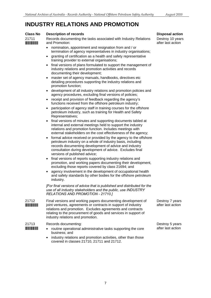## **INDUSTRY RELATIONS AND PROMOTION**

#### **Class No Description of records**

21711 \*21711\* Records documenting the tasks associated with Industry Relations and Promotion:

- nomination, appointment and resignation from and / or termination of agency representatives in industry organisations;
- granting of certification as a health and safety representative training provider to external organisations;
- final versions of plans formulated to support the management of industry relations and promotion activities and records documenting their development;
- master set of agency manuals, handbooks, directives etc detailing procedures supporting the industry relations and promotion function;
- development of all industry relations and promotion policies and agency procedures, excluding final versions of policies;
- receipt and provision of feedback regarding the agency's functions received from the offshore petroleum industry;
- participation of agency staff in training courses for the offshore petroleum industry, such as training for Health and Safety Representatives;
- final versions of minutes and supporting documents tabled at internal and external meetings held to support the industry relations and promotion function. Includes meetings with external stakeholders on the cost effectiveness of the agency;
- formal advice received or provided by the agency to the offshore petroleum industry on a whole of industry basis, including records documenting development of advice and industry consultation during development of advice. Excludes final versions of published advice;
- final versions of reports supporting industry relations and promotion, and working papers documenting their development, excluding those reports covered by class 21694; and
- agency involvement in the development of occupational health and safety standards by other bodies for the offshore petroleum industry.

*[For final versions of advice that is published and distributed for the use of all industry stakeholders and the public, use INDUSTRY RELATIONS AND PROMOTION - 21710.]* 

- 21712 \*21712\* 21713 Final versions and working papers documenting development of joint ventures, agreements or contracts in support of industry relations and promotion. Excludes agreements and contracts relating to the procurement of goods and services in support of industry relations and promotion. Records documenting:
- \*21713\*
- routine operational administrative tasks supporting the core business; and
- industry relations and promotion activities, other than those covered in classes 21710, 21711 and 21712.

### **Disposal action**

Destroy 10 years after last action

Destroy 7 years after last action

Destroy 5 years after last action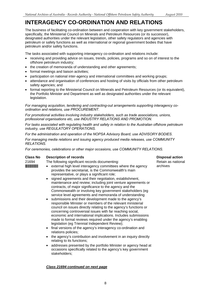## <span id="page-7-0"></span>**INTERAGENCY CO-ORDINATION AND RELATIONS**

The business of facilitating co-ordination between and cooperation with key government stakeholders, specifically, the Ministerial Council on Minerals and Petroleum Resources (or its successor), designated authorities under the relevant legislation, other safety regulators and agencies with petroleum or safety functions as well as international or regional government bodies that have petroleum and/or safety functions.

The tasks associated with supporting interagency co-ordination and relations include:

- receiving and providing advice on issues, trends, policies, programs and so on of interest to the offshore petroleum industry;
- the creation of memoranda of understanding and other agreements;
- formal meetings and liaison activities;
- participation on national inter-agency and international committees and working groups;
- attendance and organisation of conferences and hosting of visits by officials from other petroleum safety agencies; and
- formal reporting to the Ministerial Council on Minerals and Petroleum Resources (or its equivalent), the Portfolio Minister and Department as well as designated authorities under the relevant legislation.

*For managing acquisition, tendering and contracting-out arrangements supporting interagency coordination and relations, use PROCUREMENT.* 

*For promotional activities involving industry stakeholders, such as trade associations, unions, professional organisations etc, use INDUSTRY RELATIONS AND PROMOTION.* 

*For tasks associated with regulating health and safety in relation to the Australian offshore petroleum industry, use REGULATORY OPERATIONS.* 

*For the administration and operation of the NOPSA Advisory Board, use ADVISORY BODIES.* 

*For managing media relations and issuing agency produced media releases, use COMMUNITY RELATIONS.* 

*For ceremonies, celebrations or other major occasions, use COMMUNITY RELATIONS.* 

### **Class No Description of records Class Action Action Action Action Action Action Action Action Action Action Action**

| 21694 | The following significant records documenting:<br>external high level interagency committees where the agency<br>provides the secretariat, is the Commonwealth's main<br>representative, or plays a significant role;<br>• signed agreements and their negotiation, establishment,<br>maintenance and review; including joint venture agreements or<br>contracts, of major significance to the agency and the<br>Commonwealth or involving key government stakeholders (eg<br>service level agreements and memoranda of understanding<br>• submissions and their development made to the agency's<br>responsible Minister or members of the relevant ministerial<br>council on issues directly relating to the agency's functions or | Retain as<br>archives |
|-------|--------------------------------------------------------------------------------------------------------------------------------------------------------------------------------------------------------------------------------------------------------------------------------------------------------------------------------------------------------------------------------------------------------------------------------------------------------------------------------------------------------------------------------------------------------------------------------------------------------------------------------------------------------------------------------------------------------------------------------------|-----------------------|
|       | concerning controversial issues with far reaching social,<br>economic and international implications. Includes submissions<br>made to formal reviews required under the agency's enabling                                                                                                                                                                                                                                                                                                                                                                                                                                                                                                                                            |                       |

- legislation (eg Triennial Independent Review); • final versions of the agency's interagency co-ordination and relations policies;
- relating to its functions; the agency's contribution and involvement in an inquiry directly
- addresses presented by the portfolio Minister or agency head at occasions specifically related to the agency's key government stakeholders;

### *Class 21694 continued on next page*

Retain as national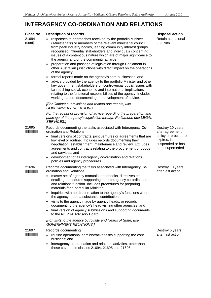## **INTERAGENCY CO-ORDINATION AND RELATIONS**

| <b>Class No</b> | <b>Description of records</b>                                                                                                                                                                                                                                                                                                                                                                                                                                                                                                                                                                                                                                                                                                                                                                                                                                                                                                                                     | <b>Disposal action</b>                                                                                            |
|-----------------|-------------------------------------------------------------------------------------------------------------------------------------------------------------------------------------------------------------------------------------------------------------------------------------------------------------------------------------------------------------------------------------------------------------------------------------------------------------------------------------------------------------------------------------------------------------------------------------------------------------------------------------------------------------------------------------------------------------------------------------------------------------------------------------------------------------------------------------------------------------------------------------------------------------------------------------------------------------------|-------------------------------------------------------------------------------------------------------------------|
| 21694<br>(cont) | responses to approaches received by the portfolio Minister<br>('Ministerials') or members of the relevant ministerial council<br>from peak industry bodies, leading community interest groups,<br>recognised influential stakeholders and individuals concerning<br>issues of a contentious nature which are of major significance to<br>the agency and/or the community at large;<br>preparation and passage of legislation through Parliament in<br>٠<br>other Australian jurisdictions with direct impact on the operations<br>of the agency;<br>formal reports made on the agency's core businesses; and<br>$\bullet$<br>advice provided by the agency to the portfolio Minister and other<br>key government stakeholders on controversial public issues with<br>far reaching social, economic and international implications<br>relating to the functional responsibilities of the agency. Includes<br>working papers documenting the development of advice. | Retain as national<br>archives                                                                                    |
|                 | [For Cabinet submissions and related documents, use<br><b>GOVERNMENT RELATIONS.</b>                                                                                                                                                                                                                                                                                                                                                                                                                                                                                                                                                                                                                                                                                                                                                                                                                                                                               |                                                                                                                   |
|                 | For the receipt or provision of advice regarding the preparation and<br>passage of the agency's legislation through Parliament, use LEGAL<br>SERVICES.]                                                                                                                                                                                                                                                                                                                                                                                                                                                                                                                                                                                                                                                                                                                                                                                                           |                                                                                                                   |
| 21695           | Records documenting the tasks associated with Interagency Co-<br>ordination and Relations:<br>final versions of contracts, joint ventures or agreements that are<br>$\bullet$<br>low level or routine. Includes records documenting their<br>negotiation, establishment, maintenance and review. Excludes<br>agreements and contracts relating to the procurement of goods<br>and services; and<br>development of all interagency co-ordination and relations<br>$\bullet$<br>policies and agency procedures.                                                                                                                                                                                                                                                                                                                                                                                                                                                     | Destroy 10 years<br>after agreement,<br>policy or procedure<br>expires, is<br>suspended or has<br>been superseded |
| 21696           | Records documenting the tasks associated with Interagency Co-<br>ordination and Relations:                                                                                                                                                                                                                                                                                                                                                                                                                                                                                                                                                                                                                                                                                                                                                                                                                                                                        | Destroy 10 years<br>after last action                                                                             |
|                 | master set of agency manuals, handbooks, directives etc<br>detailing procedures supporting the interagency co-ordination<br>and relations function. Includes procedures for preparing<br>materials for a particular Minister;<br>inquiries with no direct relation to the agency's functions where<br>$\bullet$<br>the agency made a substantial contribution;<br>visits to the agency made by agency heads, or records<br>٠<br>documenting the agency's head visiting other agencies; and<br>final version of agency submissions and supporting documents<br>$\bullet$<br>to the NOPSA Advisory Board.<br>[For visits to the agency by royalty and Heads of State, use                                                                                                                                                                                                                                                                                           |                                                                                                                   |
|                 | <b>GOVERNMENT RELATIONS.]</b>                                                                                                                                                                                                                                                                                                                                                                                                                                                                                                                                                                                                                                                                                                                                                                                                                                                                                                                                     |                                                                                                                   |
| 21697           | Records documenting:<br>routine operational administrative tasks supporting the core<br>business; and<br>interagency co-ordination and relations activities, other than<br>٠<br>those covered in classes 21694, 21695 and 21696.                                                                                                                                                                                                                                                                                                                                                                                                                                                                                                                                                                                                                                                                                                                                  | Destroy 5 years<br>after last action                                                                              |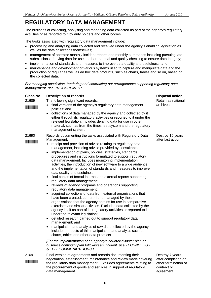## <span id="page-9-0"></span>**REGULATORY DATA MANAGEMENT**

The business of collecting, analysing and managing data collected as part of the agency's regulatory activities or as reported to it by duty holders and other bodies.

The tasks associated with regulatory data management include:

- processing and analysing data collected and received under the agency's enabling legislation as well as the data collections themselves;
- management of operator monthly incident reports and monthly summaries including pursuing late submissions, deriving data for use in other material and quality checking to ensure data integrity;
- implementation of standards and measures to improve data quality and usefulness; and,
- maintenance and development of various systems used to capture and manipulate data and the production of regular as well as ad hoc data products, such as charts, tables and so on, based on the collected data.

*For managing acquisition, tendering and contracting-out arrangements supporting regulatory data management, use PROCUREMENT.* 

| Class No<br>21689<br><u> Timba ka</u> | <b>Description of records</b><br>The following significant records:<br>final versions of the agency's regulatory data management<br>policies; and<br>collections of data managed by the agency and collected by it<br>either through its regulatory activities or reported to it under the<br>relevant legislation. Includes deriving data for use in other<br>material, such as from the timesheet system and the regulatory<br>management system.                                                                                                                                                                                                                                                                                                                                                                                                                                                                                                                                                                                                                                                                                                                                                                                                                                                                                                                                                                                                                                                                                                | <b>Disposal action</b><br>Retain as national<br>archives                                   |
|---------------------------------------|----------------------------------------------------------------------------------------------------------------------------------------------------------------------------------------------------------------------------------------------------------------------------------------------------------------------------------------------------------------------------------------------------------------------------------------------------------------------------------------------------------------------------------------------------------------------------------------------------------------------------------------------------------------------------------------------------------------------------------------------------------------------------------------------------------------------------------------------------------------------------------------------------------------------------------------------------------------------------------------------------------------------------------------------------------------------------------------------------------------------------------------------------------------------------------------------------------------------------------------------------------------------------------------------------------------------------------------------------------------------------------------------------------------------------------------------------------------------------------------------------------------------------------------------------|--------------------------------------------------------------------------------------------|
| 21690                                 | Records documenting the tasks associated with Regulatory Data<br>Management:<br>receipt and provision of advice relating to regulatory data<br>management, including advice provided by consultants;<br>implementation of plans, policies, strategies, standards,<br>procedures and instructions formulated to support regulatory<br>data management. Includes monitoring implementation<br>activities, the introduction of new software to a wide audience,<br>and the implementation of standards and measures to improve<br>data quality and usefulness;<br>final copies of formal internal and external reports supporting<br>regulatory data management;<br>reviews of agency programs and operations supporting<br>regulatory data management;<br>acquired collections of data from external organisations that<br>have been created, captured and managed by those<br>organisations that the agency obtains for use in comparative<br>exercises and similar activities. Excludes data collected by the<br>agency itself as part of its regulatory activities or reported to it<br>under the relevant legislation;<br>detailed research carried out to support regulatory data<br>management; and<br>manipulation and analysis of raw data collected by the agency,<br>includes products of this manipulation and analysis such as<br>charts, tables and other data products.<br>[For the implementation of an agency's counter-disaster plan or<br>business continuity plan following an incident, use TECHNOLOGY<br>& TELECOMMUNICATIONS.] | Destroy 10 years<br>after last action                                                      |
| 21691                                 | Final version of agreements and records documenting their<br>negotiation, establishment, maintenance and review made covering<br>the regulatory data management. Excludes agreements relating to<br>the procurement of goods and services in support of regulatory<br>data management.                                                                                                                                                                                                                                                                                                                                                                                                                                                                                                                                                                                                                                                                                                                                                                                                                                                                                                                                                                                                                                                                                                                                                                                                                                                             | Destroy 7 years<br>after completion or<br>other termination of<br>contract or<br>agreement |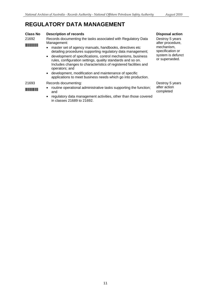## **REGULATORY DATA MANAGEMENT**

#### **Class No Description of records**

21692 \*21692\* Records documenting the tasks associated with Regulatory Data Management:

• master set of agency manuals, handbooks, directives etc detailing procedures supporting regulatory data management;

- • development of specifications, control mechanisms, business rules, configuration settings, quality standards and so on. Includes changes to characteristics of registered facilities and operators; and
- • development, modification and maintenance of specific applications to meet business needs which go into production.

#### 21693 Records documenting:

\*21693\*

- routine operational administrative tasks supporting the function; and
- regulatory data management activities, other than those covered in classes 21689 to 21692.

**Disposal action** 

Destroy 5 years after procedure, mechanism, specification or system is defunct or superseded.

Destroy 5 years after action completed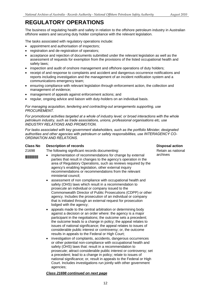<span id="page-11-0"></span>offshore waters and securing duty holder compliance with the relevant legislation.<br>The tasks associated with regulatory operations include: The business of regulating health and safety in relation to the offshore petroleum industry in Australian

- appointment and authorisation of inspectors:
- registration and de-registration of operators;
- acceptance and rejection of documents submitted under the relevant legislation as well as the assessment of requests for exemption from the provisions of the listed occupational health and safety laws;
- inspection and audit of onshore management and offshore operations of duty holders;
- receipt of and response to complaints and accident and dangerous occurrence notifications and reports including investigation and the management of an incident notification system and a communications emergency team;
- ensuring compliance with relevant legislation through enforcement action, the collection and management of evidence;
- management of appeals against enforcement actions; and
- regular, ongoing advice and liaison with duty-holders on an individual basis.

#### *For managing acquisition, tendering and contracting-out arrangements supporting, use PROCUREMENT.*

*For promotional activities targeted at a whole of industry level; or broad interactions with the whole petroleum industry, such as trade associations, unions, professional organisations etc, use INDUSTRY RELATIONS AND PROMOTION.* 

*For tasks associated with key government stakeholders, such as the portfolio Minister, designated authorities and other agencies with petroleum or safety responsibilities, use INTERAGENCY CO-ORDINATION AND RELATIONS.* 

### **Class No Description of records Disposal action Action Action Action Action Action Action Action Action Action**

21698 The following significant records documenting: The state as national Retain as national

- **FIFFERRY 19998 1216 •** implementation of recommendations for change by external archives parties that result in changes to the agency's operation in the area of Regulatory Operations, such as reviews required by the agency's enabling legislation, other external inquiry recommendations or recommendations from the relevant ministerial council;
	- assessment of non compliance with occupational health and safety (OHS) laws which result in a recommendation to prosecute an individual or company issued to the Commonwealth Director of Public Prosecutions (CDPP) or other agency. Includes the prosecution of an individual or company that is initiated through an external request for prosecution lodged with the agency;
	- appeals made to the central arbitration or determining body against a decision or an order where: the agency is a major participant in the negotiations; the outcome sets a precedent; the outcome leads to a change in policy; the appeal relates to issues of national significance; the appeal relates to issues of considerable public interest or controversy; or, the outcome results in appeals to the Federal or High Court;
	- investigation of complaints, accidents, dangerous occurrences or other potential non-compliance with occupational health and safety (OHS) laws that: result in a recommendation to prosecute; attract considerable public interest or controversy; set a precedent; lead to a change in policy; relate to issues of national significance; or, result in appeals to the Federal or High Court. Includes investigations run jointly with other government agencies;

#### *Class 21698 continued on next page*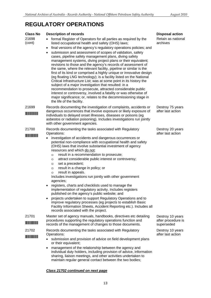| <b>Class No</b><br>21698<br>(cont) | <b>Description of records</b><br>formal Register of Operators for all parties as required by the<br>$\bullet$<br>listed occupational health and safety (OHS) laws;<br>final versions of the agency's regulatory operations policies; and<br>$\bullet$                                                                                                                                                                                                                                                                                                                                                                                                                                                                                                                                                                                                                                                                                                                                                                                                      | <b>Disposal action</b><br>Retain as national<br>archives |
|------------------------------------|------------------------------------------------------------------------------------------------------------------------------------------------------------------------------------------------------------------------------------------------------------------------------------------------------------------------------------------------------------------------------------------------------------------------------------------------------------------------------------------------------------------------------------------------------------------------------------------------------------------------------------------------------------------------------------------------------------------------------------------------------------------------------------------------------------------------------------------------------------------------------------------------------------------------------------------------------------------------------------------------------------------------------------------------------------|----------------------------------------------------------|
|                                    | submission and assessment of scopes of validation, safety<br>$\bullet$<br>cases, pipeline safety management plans, diving safety<br>management systems, diving project plans or their equivalent;<br>revisions to those and the agency's records of assessment of<br>the same, where the relevant facility, pipeline or similar is the<br>first of its kind or comprised a highly unique or innovative design<br>(eg floating LNG technology); is a facility listed on the National<br>Critical Infrastructure List; was at some point in its history the<br>subject of a major investigation that resulted: in a<br>recommendation to prosecute, attracted considerable public<br>interest or controversy, involved a fatality or was otherwise of<br>major significance; or, relates to the decommissioning stage in<br>the life of the facility.                                                                                                                                                                                                        |                                                          |
| 21699                              | Records documenting the investigation of complaints, accidents or<br>dangerous occurrences that involve exposure or likely exposure of<br>individuals to delayed onset illnesses, diseases or poisons (eg<br>asbestos or radiation poisoning). Includes investigations run jointly<br>with other government agencies.                                                                                                                                                                                                                                                                                                                                                                                                                                                                                                                                                                                                                                                                                                                                      | Destroy 75 years<br>after last action                    |
| 21700<br><b>The Community</b>      | Records documenting the tasks associated with Regulatory<br>Operations:<br>investigation of accidents and dangerous occurrences or<br>٠<br>potential non-compliance with occupational health and safety<br>(OHS) laws that involve substantial investment of agency<br>resources and which do not:<br>result in a recommendation to prosecute;<br>$\circ$<br>attract considerable public interest or controversy;<br>$\circ$<br>set a precedent;<br>$\circ$<br>result in a change in policy; or<br>$\circ$<br>result in appeals.<br>$\circ$<br>Includes investigations run jointly with other government<br>agencies;<br>registers, charts and checklists used to manage the<br>٠<br>implementation of regulatory activity. Includes registers<br>published on the agency's public website; and<br>projects undertaken to support Regulatory Operations and to<br>$\bullet$<br>improve regulatory processes (eg projects to establish Basic<br>Facility Information Sheets, Accident Reporting etc.). Includes all<br>records associated with the project. | Destroy 20 years<br>after last action                    |
| 21701<br><b>The Community</b>      | Master set of agency manuals, handbooks, directives etc detailing<br>procedures supporting the regulatory operations function and<br>records of the management of changes to those documents.                                                                                                                                                                                                                                                                                                                                                                                                                                                                                                                                                                                                                                                                                                                                                                                                                                                              | Destroy 10 years<br>after procedure is<br>superseded     |
| 21702                              | Records documenting the tasks associated with Regulatory<br>Operations:<br>submission and provision of advice on field development plans<br>or their equivalent;<br>management of the relationship between the agency and<br>٠<br>individual duty holders, including provision of advice, information                                                                                                                                                                                                                                                                                                                                                                                                                                                                                                                                                                                                                                                                                                                                                      | Destroy 10 years<br>after last action                    |
|                                    | sharing, liaison meetings, and other activities undertaken to<br>maintain regular general contact between the two bodies;                                                                                                                                                                                                                                                                                                                                                                                                                                                                                                                                                                                                                                                                                                                                                                                                                                                                                                                                  |                                                          |

### *Class 21702 continued on next page*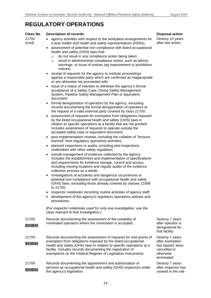**Description of records** 

**Class No** 

#### 21702 (cont) 21703 \*21703\* 21704 \*21704\* • agency activities with respect to the workplace arrangements for a duty holder and health and safety representatives (HSRs); • assessment of potential non compliance with listed occupational health and safety (OHS) laws that: o do not result in any compliance action being taken  $\circ$  result in administrative compliance action, such as advice, warnings, or issue of notices (eg improvement or prohibition notices) • receipt of requests for the agency to institute proceedings against a responsible party which are confirmed as inappropriate or are otherwise not proceeded with; issue of a notice of intention to withdraw the agency's formal acceptance of a Safety Case, Diving Safety Management System, Pipeline Safety Management Plan or equivalent document; • formal deregistration of operators by the agency, excluding records documenting the formal deregistration of operators at the request of a valid external party covered by class 21709; assessment of requests for exemption from obligations imposed by the listed occupational health and safety (OHS) laws in relation to specific operations at a facility that are not granted. Includes assessment of requests to operate outside the accepted safety case or equivalent document; post-implementation reviews, including the collation of "lessons learned" from regulatory operations activities; planned inspections or audits, including joint inspections undertaken with other safety regulators; overall management of evidence collected by the agency. Includes the establishment and implementation of specifications and requirements for evidence storage, control and access, including moving locations and regular audits of the evidence collection process as a whole; • investigations of accidents and dangerous occurrences or potential non-compliance with occupational health and safety (OHS) laws, excluding those already covered by classes 21698 to 21700; • inspector notebooks recording routine activities of agency staff; development of the agency's regulatory operations policies and procedures. *[For inspector notebooks used for only one investigation, use the class relevant to that investigation.]*  Records documenting the assessment of the suitability of nominated operators where the nomination is accepted. Records documenting the assessment of requests for and grants of exemption from obligations imposed by the listed occupational health and safety (OHS) laws in relation to specific operations at a facility. Includes records documenting the registration of exemptions on the Federal Register of Legislative Instruments. Destroy 7 years after operator is deregistered for that facility Destroy 7 years after exemption has lapsed, been cancelled or otherwise terminated 21705 Records documenting the appointment and authorisation of Destroy 7 years

persons as occupational health and safety (OHS) inspectors under after inspector has \*21705\* the agency's legislation. ceased in the role

**Disposal action** 

Destroy 10 years after last action